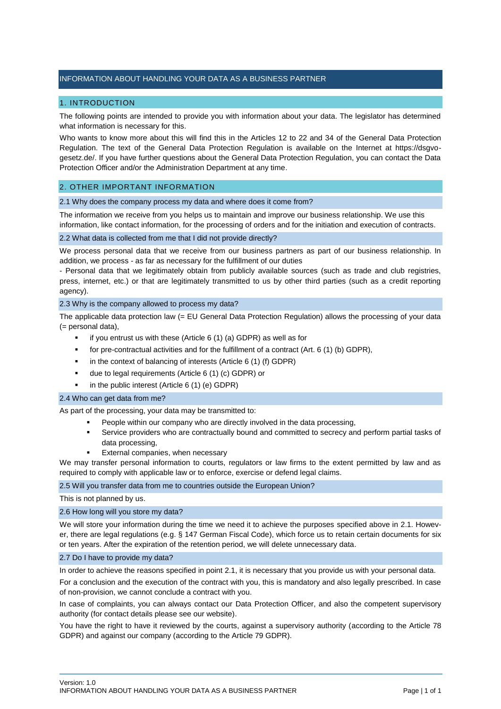# INFORMATION ABOUT HANDLING YOUR DATA AS A BUSINESS PARTNER

# 1. INTRODUCTION

The following points are intended to provide you with information about your data. The legislator has determined what information is necessary for this.

Who wants to know more about this will find this in the Articles 12 to 22 and 34 of the General Data Protection Regulation. The text of the General Data Protection Regulation is available on the Internet at https://dsgvogesetz.de/. If you have further questions about the General Data Protection Regulation, you can contact the Data Protection Officer and/or the Administration Department at any time.

# 2. OTHER IMPORTANT INFORMATION

2.1 Why does the company process my data and where does it come from?

The information we receive from you helps us to maintain and improve our business relationship. We use this information, like contact information, for the processing of orders and for the initiation and execution of contracts.

### 2.2 What data is collected from me that I did not provide directly?

We process personal data that we receive from our business partners as part of our business relationship. In addition, we process - as far as necessary for the fulfillment of our duties

- Personal data that we legitimately obtain from publicly available sources (such as trade and club registries, press, internet, etc.) or that are legitimately transmitted to us by other third parties (such as a credit reporting agency).

### 2.3 Why is the company allowed to process my data?

The applicable data protection law (= EU General Data Protection Regulation) allows the processing of your data (= personal data),

- if you entrust us with these (Article 6 (1) (a) GDPR) as well as for
- for pre-contractual activities and for the fulfillment of a contract (Art. 6 (1) (b) GDPR),
- in the context of balancing of interests (Article 6 (1) (f) GDPR)
- due to legal requirements (Article 6 (1) (c) GDPR) or
- $\blacksquare$  in the public interest (Article 6 (1) (e) GDPR)

#### 2.4 Who can get data from me?

As part of the processing, your data may be transmitted to:

- People within our company who are directly involved in the data processing,
- Service providers who are contractually bound and committed to secrecy and perform partial tasks of data processing,
- External companies, when necessary

We may transfer personal information to courts, regulators or law firms to the extent permitted by law and as required to comply with applicable law or to enforce, exercise or defend legal claims.

2.5 Will you transfer data from me to countries outside the European Union?

This is not planned by us.

#### 2.6 How long will you store my data?

We will store your information during the time we need it to achieve the purposes specified above in 2.1. However, there are legal regulations (e.g. § 147 German Fiscal Code), which force us to retain certain documents for six or ten years. After the expiration of the retention period, we will delete unnecessary data.

# 2.7 Do I have to provide my data?

In order to achieve the reasons specified in point 2.1, it is necessary that you provide us with your personal data.

For a conclusion and the execution of the contract with you, this is mandatory and also legally prescribed. In case of non-provision, we cannot conclude a contract with you.

In case of complaints, you can always contact our Data Protection Officer, and also the competent supervisory authority (for contact details please see our website).

You have the right to have it reviewed by the courts, against a supervisory authority (according to the Article 78 GDPR) and against our company (according to the Article 79 GDPR).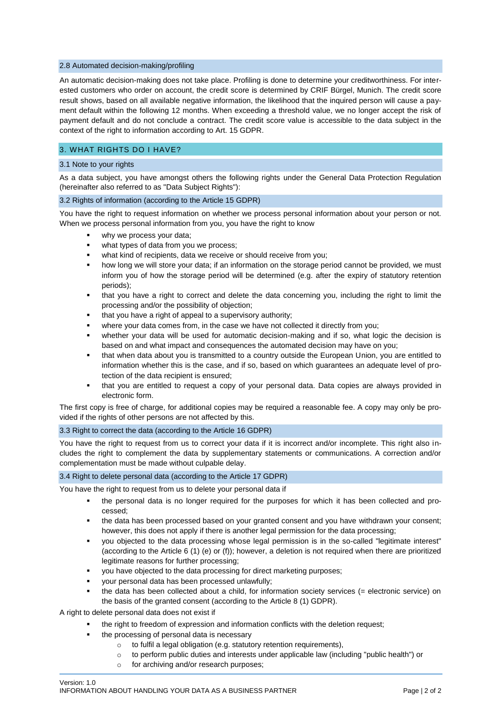#### 2.8 Automated decision-making/profiling

An automatic decision-making does not take place. Profiling is done to determine your creditworthiness. For interested customers who order on account, the credit score is determined by CRIF Bürgel, Munich. The credit score result shows, based on all available negative information, the likelihood that the inquired person will cause a payment default within the following 12 months. When exceeding a threshold value, we no longer accept the risk of payment default and do not conclude a contract. The credit score value is accessible to the data subject in the context of the right to information according to Art. 15 GDPR.

# 3. WHAT RIGHTS DO I HAVE?

#### 3.1 Note to your rights

As a data subject, you have amongst others the following rights under the General Data Protection Regulation (hereinafter also referred to as "Data Subject Rights"):

#### 3.2 Rights of information (according to the Article 15 GDPR)

You have the right to request information on whether we process personal information about your person or not. When we process personal information from you, you have the right to know

- why we process your data;
- what types of data from you we process;
- what kind of recipients, data we receive or should receive from you;
- how long we will store your data; if an information on the storage period cannot be provided, we must inform you of how the storage period will be determined (e.g. after the expiry of statutory retention periods);
- that you have a right to correct and delete the data concerning you, including the right to limit the processing and/or the possibility of objection;
- that you have a right of appeal to a supervisory authority;
- where your data comes from, in the case we have not collected it directly from you;
- whether your data will be used for automatic decision-making and if so, what logic the decision is based on and what impact and consequences the automated decision may have on you;
- that when data about you is transmitted to a country outside the European Union, you are entitled to information whether this is the case, and if so, based on which guarantees an adequate level of protection of the data recipient is ensured;
- that you are entitled to request a copy of your personal data. Data copies are always provided in electronic form.

The first copy is free of charge, for additional copies may be required a reasonable fee. A copy may only be provided if the rights of other persons are not affected by this.

### 3.3 Right to correct the data (according to the Article 16 GDPR)

You have the right to request from us to correct your data if it is incorrect and/or incomplete. This right also includes the right to complement the data by supplementary statements or communications. A correction and/or complementation must be made without culpable delay.

# 3.4 Right to delete personal data (according to the Article 17 GDPR)

You have the right to request from us to delete your personal data if

- the personal data is no longer required for the purposes for which it has been collected and processed;
- the data has been processed based on your granted consent and you have withdrawn your consent; however, this does not apply if there is another legal permission for the data processing;
- you objected to the data processing whose legal permission is in the so-called "legitimate interest" (according to the Article 6 (1) (e) or (f)); however, a deletion is not required when there are prioritized legitimate reasons for further processing;
- you have objected to the data processing for direct marketing purposes;
- your personal data has been processed unlawfully;
- the data has been collected about a child, for information society services (= electronic service) on the basis of the granted consent (according to the Article 8 (1) GDPR).

A right to delete personal data does not exist if

- the right to freedom of expression and information conflicts with the deletion request;
- the processing of personal data is necessary
	- o to fulfil a legal obligation (e.g. statutory retention requirements),
	- $\circ$  to perform public duties and interests under applicable law (including "public health") or
	- o for archiving and/or research purposes;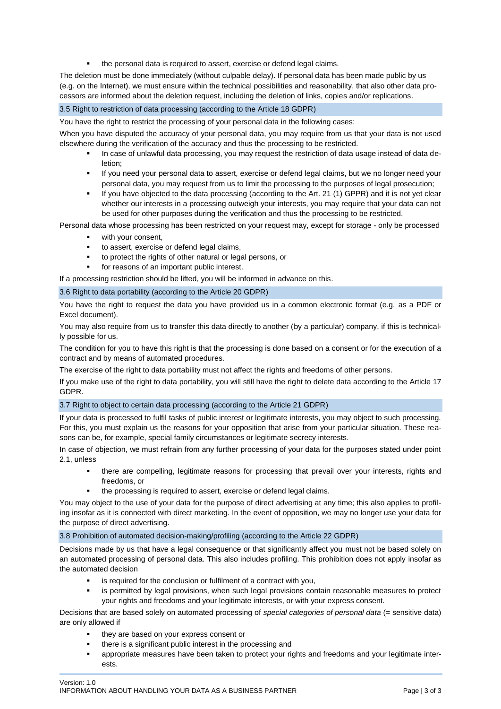the personal data is required to assert, exercise or defend legal claims.

The deletion must be done immediately (without culpable delay). If personal data has been made public by us (e.g. on the Internet), we must ensure within the technical possibilities and reasonability, that also other data processors are informed about the deletion request, including the deletion of links, copies and/or replications.

# 3.5 Right to restriction of data processing (according to the Article 18 GDPR)

You have the right to restrict the processing of your personal data in the following cases:

When you have disputed the accuracy of your personal data, you may require from us that your data is not used elsewhere during the verification of the accuracy and thus the processing to be restricted.

- In case of unlawful data processing, you may request the restriction of data usage instead of data deletion;
- If you need your personal data to assert, exercise or defend legal claims, but we no longer need your personal data, you may request from us to limit the processing to the purposes of legal prosecution;
- If you have objected to the data processing (according to the Art. 21 (1) GPPR) and it is not yet clear whether our interests in a processing outweigh your interests, you may require that your data can not be used for other purposes during the verification and thus the processing to be restricted.

Personal data whose processing has been restricted on your request may, except for storage - only be processed

- with your consent,
- to assert, exercise or defend legal claims,
- to protect the rights of other natural or legal persons, or
- for reasons of an important public interest.
- If a processing restriction should be lifted, you will be informed in advance on this.

# 3.6 Right to data portability (according to the Article 20 GDPR)

You have the right to request the data you have provided us in a common electronic format (e.g. as a PDF or Excel document).

You may also require from us to transfer this data directly to another (by a particular) company, if this is technically possible for us.

The condition for you to have this right is that the processing is done based on a consent or for the execution of a contract and by means of automated procedures.

The exercise of the right to data portability must not affect the rights and freedoms of other persons.

If you make use of the right to data portability, you will still have the right to delete data according to the Article 17 GDPR.

#### 3.7 Right to object to certain data processing (according to the Article 21 GDPR)

If your data is processed to fulfil tasks of public interest or legitimate interests, you may object to such processing. For this, you must explain us the reasons for your opposition that arise from your particular situation. These reasons can be, for example, special family circumstances or legitimate secrecy interests.

In case of objection, we must refrain from any further processing of your data for the purposes stated under point 2.1, unless

- there are compelling, legitimate reasons for processing that prevail over your interests, rights and freedoms, or
- the processing is required to assert, exercise or defend legal claims.

You may object to the use of your data for the purpose of direct advertising at any time; this also applies to profiling insofar as it is connected with direct marketing. In the event of opposition, we may no longer use your data for the purpose of direct advertising.

# 3.8 Prohibition of automated decision-making/profiling (according to the Article 22 GDPR)

Decisions made by us that have a legal consequence or that significantly affect you must not be based solely on an automated processing of personal data. This also includes profiling. This prohibition does not apply insofar as the automated decision

- is required for the conclusion or fulfilment of a contract with you,
- is permitted by legal provisions, when such legal provisions contain reasonable measures to protect your rights and freedoms and your legitimate interests, or with your express consent.

Decisions that are based solely on automated processing of *special categories of personal data* (= sensitive data) are only allowed if

- they are based on your express consent or
- there is a significant public interest in the processing and
- appropriate measures have been taken to protect your rights and freedoms and your legitimate interests.